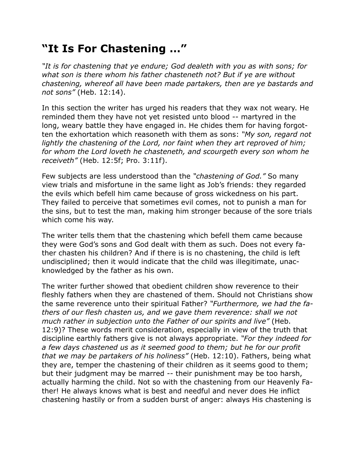## **"It Is For Chastening …"**

*"It is for chastening that ye endure; God dealeth with you as with sons; for what son is there whom his father chasteneth not? But if ye are without chastening, whereof all have been made partakers, then are ye bastards and not sons"* (Heb. 12:14).

In this section the writer has urged his readers that they wax not weary. He reminded them they have not yet resisted unto blood -- martyred in the long, weary battle they have engaged in. He chides them for having forgotten the exhortation which reasoneth with them as sons: *"My son, regard not lightly the chastening of the Lord, nor faint when they art reproved of him; for whom the Lord loveth he chasteneth, and scourgeth every son whom he receiveth"* (Heb. 12:5f; Pro. 3:11f).

Few subjects are less understood than the *"chastening of God."* So many view trials and misfortune in the same light as Job's friends: they regarded the evils which befell him came because of gross wickedness on his part. They failed to perceive that sometimes evil comes, not to punish a man for the sins, but to test the man, making him stronger because of the sore trials which come his way.

The writer tells them that the chastening which befell them came because they were God's sons and God dealt with them as such. Does not every father chasten his children? And if there is is no chastening, the child is left undisciplined; then it would indicate that the child was illegitimate, unacknowledged by the father as his own.

The writer further showed that obedient children show reverence to their fleshly fathers when they are chastened of them. Should not Christians show the same reverence unto their spiritual Father? *"Furthermore, we had the fathers of our flesh chasten us, and we gave them reverence: shall we not much rather in subjection unto the Father of our spirits and live"* (Heb. 12:9)? These words merit consideration, especially in view of the truth that discipline earthly fathers give is not always appropriate. *"For they indeed for a few days chastened us as it seemed good to them; but he for our profit that we may be partakers of his holiness"* (Heb. 12:10). Fathers, being what they are, temper the chastening of their children as it seems good to them; but their judgment may be marred -- their punishment may be too harsh, actually harming the child. Not so with the chastening from our Heavenly Father! He always knows what is best and needful and never does He inflict chastening hastily or from a sudden burst of anger: always His chastening is